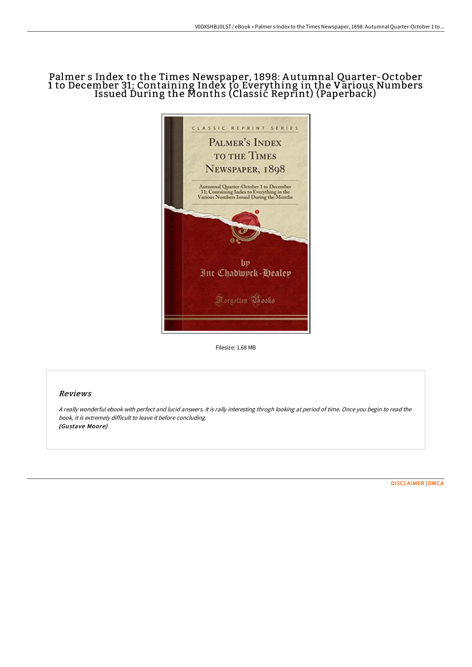# Palmer s Index to the Times Newspaper, 1898: A utumnal Quarter-October 1 to December 31; Containing Index to Everything in the Various Numbers Issued During the Months (Classic Reprint) (Paperback)



Filesize: 1.68 MB

## Reviews

<sup>A</sup> really wonderful ebook with perfect and lucid answers. It is rally interesting throgh looking at period of time. Once you begin to read the book, it is extremely difficult to leave it before concluding. (Gustave Moore)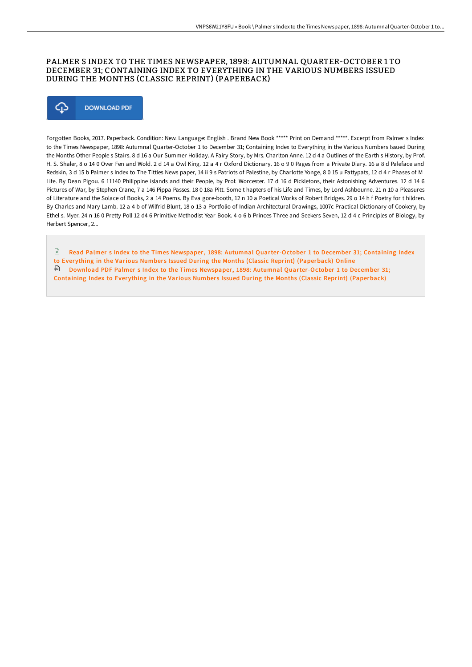### PALMER S INDEX TO THE TIMES NEWSPAPER, 1898: AUTUMNAL QUARTER-OCTOBER 1 TO DECEMBER 31; CONTAINING INDEX TO EVERYTHING IN THE VARIOUS NUMBERS ISSUED DURING THE MONTHS (CLASSIC REPRINT) (PAPERBACK)



Forgotten Books, 2017. Paperback. Condition: New. Language: English . Brand New Book \*\*\*\*\* Print on Demand \*\*\*\*\*. Excerpt from Palmer s Index to the Times Newspaper, 1898: Autumnal Quarter-October 1 to December 31; Containing Index to Everything in the Various Numbers Issued During the Months Other People s Stairs. 8 d 16 a Our Summer Holiday. A Fairy Story, by Mrs. Charlton Anne. 12 d 4 a Outlines of the Earth s History, by Prof. H. S. Shaler, 8 o 14 0 Over Fen and Wold. 2 d 14 a Owl King. 12 a 4 r Oxford Dictionary. 16 o 9 0 Pages from a Private Diary. 16 a 8 d Paleface and Redskin, 3 d 15 b Palmer s Index to The Titties News paper, 14 ii 9 s Patriots of Palestine, by Charlotte Yonge, 8 0 15 u Pattypats, 12 d 4 r Phases of M Life. By Dean Pigou. 6 11140 Philippine islands and their People, by Prof. Worcester. 17 d 16 d Pickletons, their Astonishing Adventures. 12 d 14 6 Pictures of War, by Stephen Crane, 7 a 146 Pippa Passes. 18 0 18a Pitt. Some t hapters of his Life and Times, by Lord Ashbourne. 21 n 10 a Pleasures of Literature and the Solace of Books, 2 a 14 Poems. By Eva gore-booth, 12 n 10 a Poetical Works of Robert Bridges. 29 o 14 h f Poetry for t hildren. By Charles and Mary Lamb. 12 a 4 b of Wilfrid Blunt, 18 o 13 a Portfolio of Indian Architectural Drawings, 1007c Practical Dictionary of Cookery, by Ethel s. Myer. 24 n 16 0 Pretty Poll 12 d4 6 Primitive Methodist Year Book. 4 o 6 b Princes Three and Seekers Seven, 12 d 4 c Principles of Biology, by Herbert Spencer, 2...

Read Palmer s Index to the Times Newspaper, 1898: Autumnal [Quarter-October](http://techno-pub.tech/palmer-s-index-to-the-times-newspaper-1898-autum.html) 1 to December 31; Containing Index to Everything in the Various Numbers Issued During the Months (Classic Reprint) (Paperback) Online Download PDF Palmer s Index to the Times Newspaper, 1898: Autumnal [Quarter-October](http://techno-pub.tech/palmer-s-index-to-the-times-newspaper-1898-autum.html) 1 to December 31; Containing Index to Everything in the Various Numbers Issued During the Months (Classic Reprint) (Paperback)